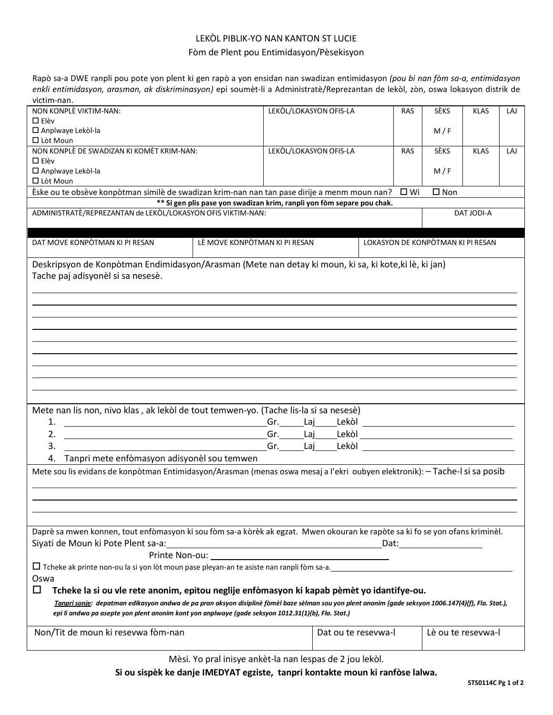## LEKÒL PIBLIK-YO NAN KANTON ST LUCIE

## Fòm de Plent pou Entimidasyon/Pèsekisyon

Rapò sa-a DWE ranpli pou pote yon plent ki gen rapò a yon ensidan nan swadizan entimidasyon *(pou bi nan fòm sa-a, entimidasyon enkli entimidasyon, arasman, ak diskriminasyon)* epi soumèt-li a Administratè/Reprezantan de lekòl, zòn, oswa lokasyon distrik de victim-nan.

| victim-nan.                                                                                                                                          |                                                                                                                      |                        |                                   |               |                    |     |
|------------------------------------------------------------------------------------------------------------------------------------------------------|----------------------------------------------------------------------------------------------------------------------|------------------------|-----------------------------------|---------------|--------------------|-----|
| NON KONPLÈ VIKTIM-NAN:                                                                                                                               |                                                                                                                      | LEKOL/LOKASYON OFIS-LA | <b>RAS</b>                        | <b>SÈKS</b>   | <b>KLAS</b>        | LAJ |
| $\Box$ Elèv                                                                                                                                          |                                                                                                                      |                        |                                   |               |                    |     |
| □ Anplwaye Lekòl-la                                                                                                                                  |                                                                                                                      |                        |                                   | M/F           |                    |     |
| □ Lòt Moun                                                                                                                                           |                                                                                                                      |                        |                                   |               |                    |     |
| NON KONPLÈ DE SWADIZAN KI KOMÈT KRIM-NAN:                                                                                                            |                                                                                                                      | LEKOL/LOKASYON OFIS-LA | <b>RAS</b>                        | <b>SÈKS</b>   | <b>KLAS</b>        | LAJ |
| $\Box$ Elèv                                                                                                                                          |                                                                                                                      |                        |                                   |               |                    |     |
|                                                                                                                                                      |                                                                                                                      |                        |                                   |               |                    |     |
| □ Anplwaye Lekòl-la                                                                                                                                  |                                                                                                                      |                        |                                   | M/F           |                    |     |
| □ Lòt Moun                                                                                                                                           |                                                                                                                      |                        |                                   |               |                    |     |
| Èske ou te obsève konpòtman similè de swadizan krim-nan nan tan pase dirije a menm moun nan?                                                         |                                                                                                                      |                        | $\square$ Wi                      | $\square$ Non |                    |     |
|                                                                                                                                                      | ** Si gen plis pase yon swadizan krim, ranpli yon fòm separe pou chak.                                               |                        |                                   |               |                    |     |
| ADMINISTRATÈ/REPREZANTAN de LEKÒL/LOKASYON OFIS VIKTIM-NAN:                                                                                          |                                                                                                                      |                        |                                   |               | DAT JODI-A         |     |
|                                                                                                                                                      |                                                                                                                      |                        |                                   |               |                    |     |
|                                                                                                                                                      |                                                                                                                      |                        |                                   |               |                    |     |
| DAT MOVE KONPÒTMAN KI PI RESAN                                                                                                                       | LÈ MOVE KONPÒTMAN KI PI RESAN                                                                                        |                        | LOKASYON DE KONPÒTMAN KI PI RESAN |               |                    |     |
|                                                                                                                                                      |                                                                                                                      |                        |                                   |               |                    |     |
|                                                                                                                                                      |                                                                                                                      |                        |                                   |               |                    |     |
| Deskripsyon de Konpòtman Endimidasyon/Arasman (Mete nan detay ki moun, ki sa, ki kote, ki lè, ki jan)                                                |                                                                                                                      |                        |                                   |               |                    |     |
| Tache paj adisyonèl si sa nesesè.                                                                                                                    |                                                                                                                      |                        |                                   |               |                    |     |
|                                                                                                                                                      |                                                                                                                      |                        |                                   |               |                    |     |
|                                                                                                                                                      |                                                                                                                      |                        |                                   |               |                    |     |
|                                                                                                                                                      |                                                                                                                      |                        |                                   |               |                    |     |
|                                                                                                                                                      |                                                                                                                      |                        |                                   |               |                    |     |
|                                                                                                                                                      |                                                                                                                      |                        |                                   |               |                    |     |
|                                                                                                                                                      |                                                                                                                      |                        |                                   |               |                    |     |
|                                                                                                                                                      |                                                                                                                      |                        |                                   |               |                    |     |
|                                                                                                                                                      |                                                                                                                      |                        |                                   |               |                    |     |
|                                                                                                                                                      |                                                                                                                      |                        |                                   |               |                    |     |
|                                                                                                                                                      |                                                                                                                      |                        |                                   |               |                    |     |
|                                                                                                                                                      |                                                                                                                      |                        |                                   |               |                    |     |
|                                                                                                                                                      |                                                                                                                      |                        |                                   |               |                    |     |
|                                                                                                                                                      |                                                                                                                      |                        |                                   |               |                    |     |
| Mete nan lis non, nivo klas, ak lekòl de tout temwen-yo. (Tache lis-la si sa nesesè)                                                                 |                                                                                                                      |                        |                                   |               |                    |     |
|                                                                                                                                                      |                                                                                                                      |                        |                                   |               |                    |     |
| 1.                                                                                                                                                   |                                                                                                                      |                        |                                   |               |                    |     |
| 2.<br><u> 1989 - Johann Barn, mars ann an t-Amhainn an t-Amhainn an t-Amhainn an t-Amhainn an t-Amhainn an t-Amhainn an </u>                         |                                                                                                                      |                        |                                   |               |                    |     |
| 3.                                                                                                                                                   | <u>Gr. Laj Lekòl anno 1988 a componente del componente del componente del componente del componente del componen</u> |                        |                                   |               |                    |     |
|                                                                                                                                                      |                                                                                                                      |                        |                                   |               |                    |     |
| Tanpri mete enfòmasyon adisyonèl sou temwen                                                                                                          |                                                                                                                      |                        |                                   |               |                    |     |
| Mete sou lis evidans de konpòtman Entimidasyon/Arasman (menas oswa mesaj a l'ekri oubyen elektronik): - Tache-l si sa posib                          |                                                                                                                      |                        |                                   |               |                    |     |
|                                                                                                                                                      |                                                                                                                      |                        |                                   |               |                    |     |
|                                                                                                                                                      |                                                                                                                      |                        |                                   |               |                    |     |
|                                                                                                                                                      |                                                                                                                      |                        |                                   |               |                    |     |
|                                                                                                                                                      |                                                                                                                      |                        |                                   |               |                    |     |
|                                                                                                                                                      |                                                                                                                      |                        |                                   |               |                    |     |
|                                                                                                                                                      |                                                                                                                      |                        |                                   |               |                    |     |
|                                                                                                                                                      |                                                                                                                      |                        |                                   |               |                    |     |
| Daprè sa mwen konnen, tout enfòmasyon ki sou fòm sa-a kòrèk ak egzat. Mwen okouran ke rapòte sa ki fo se yon ofans kriminèl.                         |                                                                                                                      |                        |                                   |               |                    |     |
| Siyati de Moun ki Pote Plent sa-a:                                                                                                                   |                                                                                                                      |                        | Dat:                              |               |                    |     |
|                                                                                                                                                      | <u> 1989 - Johann Stoff, Amerikaansk politiker (</u>                                                                 |                        |                                   |               |                    |     |
|                                                                                                                                                      |                                                                                                                      |                        |                                   |               |                    |     |
| $\Box$ Tcheke ak printe non-ou la si yon lòt moun pase pleyan-an te asiste nan ranpli fòm sa-a.                                                      |                                                                                                                      |                        |                                   |               |                    |     |
| Oswa                                                                                                                                                 |                                                                                                                      |                        |                                   |               |                    |     |
|                                                                                                                                                      |                                                                                                                      |                        |                                   |               |                    |     |
| ◻<br>Tcheke la si ou vle rete anonim, epitou neglije enfòmasyon ki kapab pèmèt yo idantifye-ou.                                                      |                                                                                                                      |                        |                                   |               |                    |     |
| Tanpri sonje: depatman edikasyon andwa de pa pran aksyon disiplinè fòmèl baze sèlman sou yon plent anonim (gade seksyon 1006.147(4)(f), Fla. Stat.), |                                                                                                                      |                        |                                   |               |                    |     |
| epi li andwa pa asepte yon plent anonim kont yon anplwaye (gade seksyon 1012.31(1)(b), Fla. Stat.)                                                   |                                                                                                                      |                        |                                   |               |                    |     |
|                                                                                                                                                      |                                                                                                                      |                        |                                   |               |                    |     |
| Non/Tit de moun ki resevwa fòm-nan                                                                                                                   |                                                                                                                      | Dat ou te resevwa-l    |                                   |               | Lè ou te resevwa-l |     |
|                                                                                                                                                      |                                                                                                                      |                        |                                   |               |                    |     |

Mèsi. Yo pral inisye ankèt-la nan lespas de 2 jou lekòl.

**Si ou sispèk ke danje IMEDYAT egziste, tanpri kontakte moun ki ranfòse lalwa.**